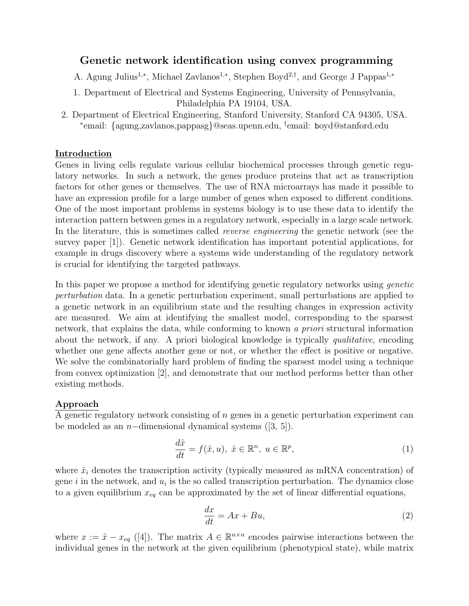## Genetic network identification using convex programming

A. Agung Julius<sup>1,∗</sup>, Michael Zavlanos<sup>1,∗</sup>, Stephen Boyd<sup>2,†</sup>, and George J Pappas<sup>1,∗</sup>

- 1. Department of Electrical and Systems Engineering, University of Pennsylvania, Philadelphia PA 19104, USA.
- 2. Department of Electrical Engineering, Stanford University, Stanford CA 94305, USA. ∗ email: {agung,zavlanos,pappasg}@seas.upenn.edu, † email: boyd@stanford.edu

#### Introduction

Genes in living cells regulate various cellular biochemical processes through genetic regulatory networks. In such a network, the genes produce proteins that act as transcription factors for other genes or themselves. The use of RNA microarrays has made it possible to have an expression profile for a large number of genes when exposed to different conditions. One of the most important problems in systems biology is to use these data to identify the interaction pattern between genes in a regulatory network, especially in a large scale network. In the literature, this is sometimes called reverse engineering the genetic network (see the survey paper [1]). Genetic network identification has important potential applications, for example in drugs discovery where a systems wide understanding of the regulatory network is crucial for identifying the targeted pathways.

In this paper we propose a method for identifying genetic regulatory networks using *genetic* perturbation data. In a genetic perturbation experiment, small perturbations are applied to a genetic network in an equilibrium state and the resulting changes in expression activity are measured. We aim at identifying the smallest model, corresponding to the sparsest network, that explains the data, while conforming to known a priori structural information about the network, if any. A priori biological knowledge is typically *qualitative*, encoding whether one gene affects another gene or not, or whether the effect is positive or negative. We solve the combinatorially hard problem of finding the sparsest model using a technique from convex optimization [2], and demonstrate that our method performs better than other existing methods.

### Approach

A genetic regulatory network consisting of n genes in a genetic perturbation experiment can be modeled as an  $n$ −dimensional dynamical systems ([3, 5]).

$$
\frac{d\hat{x}}{dt} = f(\hat{x}, u), \ \hat{x} \in \mathbb{R}^n, \ u \in \mathbb{R}^p,
$$
\n(1)

where  $\hat{x}_i$  denotes the transcription activity (typically measured as mRNA concentration) of gene *i* in the network, and  $u_i$  is the so called transcription perturbation. The dynamics close to a given equilibrium  $x_{eq}$  can be approximated by the set of linear differential equations,

$$
\frac{dx}{dt} = Ax + Bu,\tag{2}
$$

where  $x := \hat{x} - x_{eq}$  ([4]). The matrix  $A \in \mathbb{R}^{n \times n}$  encodes pairwise interactions between the individual genes in the network at the given equilibrium (phenotypical state), while matrix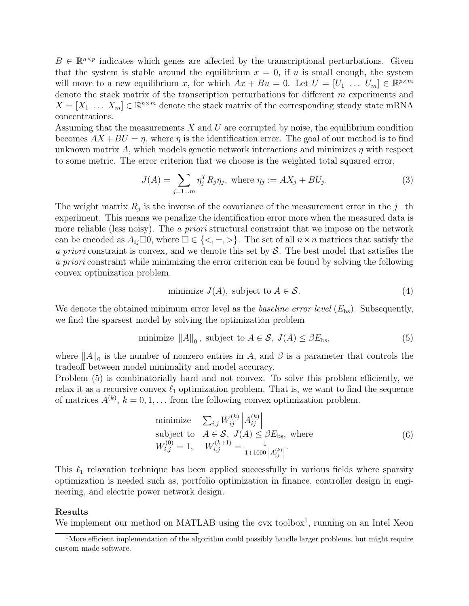$B \in \mathbb{R}^{n \times p}$  indicates which genes are affected by the transcriptional perturbations. Given that the system is stable around the equilibrium  $x = 0$ , if u is small enough, the system will move to a new equilibrium x, for which  $Ax + Bu = 0$ . Let  $U = [U_1 \dots U_m] \in \mathbb{R}^{p \times m}$ denote the stack matrix of the transcription perturbations for different m experiments and  $X = [X_1 \dots X_m] \in \mathbb{R}^{n \times m}$  denote the stack matrix of the corresponding steady state mRNA concentrations.

Assuming that the measurements  $X$  and  $U$  are corrupted by noise, the equilibrium condition becomes  $AX + BU = \eta$ , where  $\eta$  is the identification error. The goal of our method is to find unknown matrix A, which models genetic network interactions and minimizes  $\eta$  with respect to some metric. The error criterion that we choose is the weighted total squared error,

$$
J(A) = \sum_{j=1...m} \eta_j^T R_j \eta_j, \text{ where } \eta_j := AX_j + BU_j.
$$
 (3)

The weight matrix  $R_j$  is the inverse of the covariance of the measurement error in the j–th experiment. This means we penalize the identification error more when the measured data is more reliable (less noisy). The *a priori* structural constraint that we impose on the network can be encoded as  $A_{ij}\Box 0$ , where  $\Box \in \{<, =, >\}$ . The set of all  $n \times n$  matrices that satisfy the a priori constraint is convex, and we denote this set by  $S$ . The best model that satisfies the a priori constraint while minimizing the error criterion can be found by solving the following convex optimization problem.

minimize 
$$
J(A)
$$
, subject to  $A \in \mathcal{S}$ . (4)

We denote the obtained minimum error level as the *baseline error level*  $(E_{\text{bs}})$ . Subsequently, we find the sparsest model by solving the optimization problem

minimize 
$$
||A||_0
$$
, subject to  $A \in \mathcal{S}$ ,  $J(A) \leq \beta E_{\text{bs}}$ ,  $(5)$ 

where  $||A||_0$  is the number of nonzero entries in A, and  $\beta$  is a parameter that controls the tradeoff between model minimality and model accuracy.

Problem  $(5)$  is combinatorially hard and not convex. To solve this problem efficiently, we relax it as a recursive convex  $\ell_1$  optimization problem. That is, we want to find the sequence of matrices  $A^{(k)}$ ,  $k = 0, 1, \ldots$  from the following convex optimization problem.

minimize 
$$
\sum_{i,j} W_{ij}^{(k)} \begin{vmatrix} A_{ij}^{(k)} \\ A \in \mathcal{S}, J(A) \leq \beta E_{\text{bs}}, \text{ where} \end{vmatrix}
$$
  
\nsubject to 
$$
A \in \mathcal{S}, J(A) \leq \beta E_{\text{bs}}, \text{ where}
$$

$$
W_{i,j}^{(0)} = 1, \quad W_{i,j}^{(k+1)} = \frac{1}{1+1000 \cdot |A_{ij}^{(k)}|}.
$$

$$
(6)
$$

This  $\ell_1$  relaxation technique has been applied successfully in various fields where sparsity optimization is needed such as, portfolio optimization in finance, controller design in engineering, and electric power network design.

#### Results

We implement our method on MATLAB using the cvx toolbox<sup>1</sup>, running on an Intel Xeon

<sup>&</sup>lt;sup>1</sup>More efficient implementation of the algorithm could possibly handle larger problems, but might require custom made software.